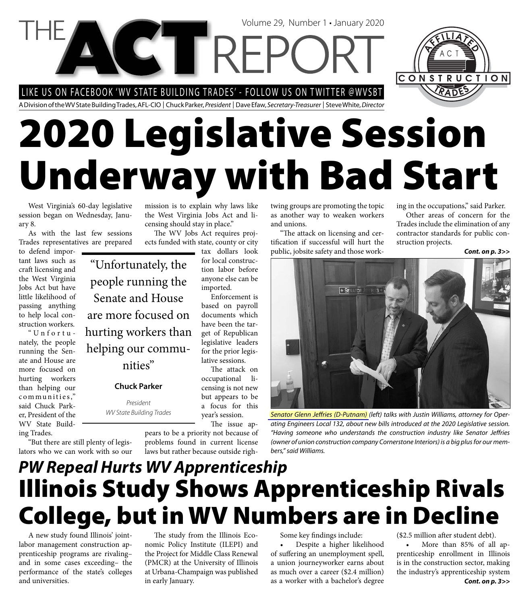LIKE US ON FACEBOOK 'WV STATE BUILDING TRADES' - FOLLOW US ON TWITTER @WVSBT

**NGTTREPC** 

A Division of the WV State Building Trades, AFL-CIO | Chuck Parker, President | Dave Efaw, Secretary-Treasurer | Steve White, Director

# **2020 Legislative Session Underway with Bad Start**

West Virginia's 60-day legislative session began on Wednesday, January 8.

As with the last few sessions Trades representatives are prepared

to defend important laws such as craft licensing and the West Virginia Jobs Act but have little likelihood of passing anything to help local construction workers.

"Unfortunately, the people running the Senate and House are more focused on hurting workers than helping our communities," said Chuck Parker, President of the WV State Building Trades.

"Unfortunately, the people running the Senate and House are more focused on hurting workers than helping our communities"

#### **Chuck Parker**

President WV State Building Trades

mission is to explain why laws like the West Virginia Jobs Act and licensing should stay in place."

The WV Jobs Act requires projects funded with state, county or city

tax dollars look for local construction labor before anyone else can be imported.

> Enforcement is based on payroll documents which have been the target of Republican legislative leaders for the prior legislative sessions.

The attack on occupational licensing is not new but appears to be a focus for this year's session. The issue ap-

pears to be a priority not because of problems found in current license laws but rather because outside rightwing groups are promoting the topic as another way to weaken workers and unions.

Volume 29, Number 1 • January 2020

"The attack on licensing and certification if successful will hurt the public, jobsite safety and those working in the occupations," said Parker.

CONSTRUCTION

Other areas of concern for the Trades include the elimination of any contractor standards for public construction projects.

*Cont. on p. 3>>*



Senator Glenn Jeffries (D-Putnam) (left) talks with Justin Williams, attorney for Operating Engineers Local 132, about new bills introduced at the 2020 Legislative session. "Having someone who understands the construction industry like Senator Jeffries (owner of union construction company Cornerstone Interiors) is a big plus for our members," said Williams.

### *PW Repeal Hurts WV Apprenticeship* **Illinois Study Shows Apprenticeship Rivals College, but in WV Numbers are in Decline**

A new study found Illinois' jointlabor management construction apprenticeship programs are rivaling– and in some cases exceeding– the performance of the state's colleges and universities.

"But there are still plenty of legislators who we can work with so our

> The study from the Illinois Economic Policy Institute (ILEPI) and the Project for Middle Class Renewal (PMCR) at the University of Illinois at Urbana-Champaign was published in early January.

Some key findings include:

• Despite a higher likelihood of suffering an unemployment spell, a union journeyworker earns about as much over a career (\$2.4 million) as a worker with a bachelor's degree

(\$2.5 million after student debt).

More than 85% of all apprenticeship enrollment in Illinois is in the construction sector, making the industry's apprenticeship system *Cont. on p. 3>>*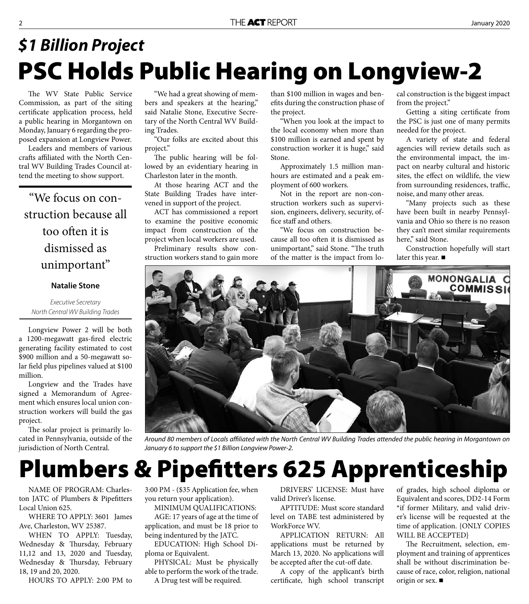# **PSC Holds Public Hearing on Longview-2** *\$1 Billion Project*

The WV State Public Service Commission, as part of the siting certificate application process, held a public hearing in Morgantown on Monday, January 6 regarding the proposed expansion at Longview Power.

Leaders and members of various crafts affiliated with the North Central WV Building Trades Council attend the meeting to show support.

"We focus on construction because all too often it is dismissed as unimportant"

#### **Natalie Stone**

Executive Secretary North Central WV Building Trades

Longview Power 2 will be both a 1200-megawatt gas-fired electric generating facility estimated to cost \$900 million and a 50-megawatt solar field plus pipelines valued at \$100 million.

Longview and the Trades have signed a Memorandum of Agreement which ensures local union construction workers will build the gas project.

The solar project is primarily located in Pennsylvania, outside of the jurisdiction of North Central.

"We had a great showing of members and speakers at the hearing," said Natalie Stone, Executive Secretary of the North Central WV Building Trades.

"Our folks are excited about this project."

The public hearing will be followed by an evidentiary hearing in Charleston later in the month.

At those hearing ACT and the State Building Trades have intervened in support of the project.

ACT has commissioned a report to examine the positive economic impact from construction of the project when local workers are used. Preliminary results show con-

struction workers stand to gain more

than \$100 million in wages and benefits during the construction phase of the project.

"When you look at the impact to the local economy when more than \$100 million is earned and spent by construction worker it is huge," said Stone.

Approximately 1.5 million manhours are estimated and a peak employment of 600 workers.

Not in the report are non-construction workers such as supervision, engineers, delivery, security, office staff and others.

"We focus on construction because all too often it is dismissed as unimportant," said Stone. "The truth of the matter is the impact from local construction is the biggest impact from the project."

Getting a siting certificate from the PSC is just one of many permits needed for the project.

A variety of state and federal agencies will review details such as the environmental impact, the impact on nearby cultural and historic sites, the effect on wildlife, the view from surrounding residences, traffic, noise, and many other areas.

"Many projects such as these have been built in nearby Pennsylvania and Ohio so there is no reason they can't meet similar requirements here," said Stone.

Construction hopefully will start later this year. ■



Around 80 members of Locals affiliated with the North Central WV Building Trades attended the public hearing in Morgantown on January 6 to support the \$1 Billion Longview Power-2.

# **Plumbers & Pipefitters 625 Apprenticeship**

NAME OF PROGRAM: Charleston JATC of Plumbers & Pipefitters Local Union 625.

WHERE TO APPLY: 3601 James Ave, Charleston, WV 25387.

WHEN TO APPLY: Tuesday, Wednesday & Thursday, February 11,12 and 13, 2020 and Tuesday, Wednesday & Thursday, February 18, 19 and 20, 2020.

HOURS TO APPLY: 2:00 PM to

3:00 PM - (\$35 Application fee, when you return your application).

MINIMUM QUALIFICATIONS: AGE: 17 years of age at the time of

application, and must be 18 prior to being indentured by the JATC.

EDUCATION: High School Diploma or Equivalent.

PHYSICAL: Must be physically able to perform the work of the trade. A Drug test will be required.

DRIVERS' LICENSE: Must have valid Driver's license.

APTITUDE: Must score standard level on TABE test administered by WorkForce WV.

APPLICATION RETURN: All applications must be returned by March 13, 2020. No applications will be accepted after the cut-off date.

A copy of the applicant's birth certificate, high school transcript of grades, high school diploma or Equivalent and scores, DD2-14 Form \*if former Military, and valid driver's license will be requested at the time of application. {ONLY COPIES WILL BE ACCEPTED}

The Recruitment, selection, employment and training of apprentices shall be without discrimination because of race, color, religion, national origin or sex.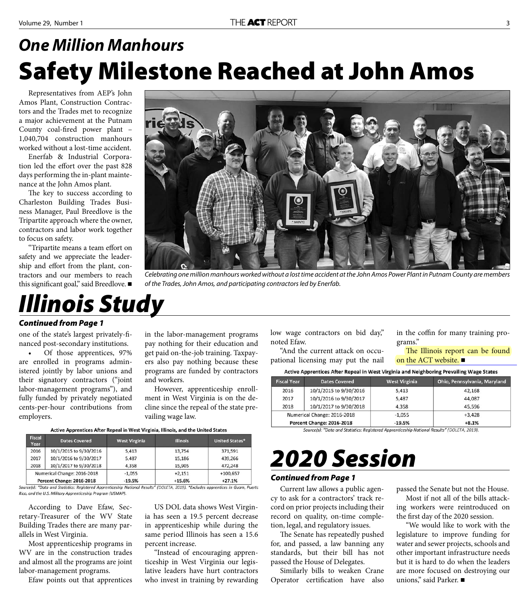### **Safety Milestone Reached at John Amos** *One Million Manhours*

Representatives from AEP's John Amos Plant, Construction Contractors and the Trades met to recognize a major achievement at the Putnam County coal-fired power plant -1,040,704 construction manhours worked without a lost-time accident.

Enerfab & Industrial Corporation led the effort over the past 828 days performing the in-plant maintenance at the John Amos plant.

The key to success according to Charleston Building Trades Business Manager, Paul Breedlove is the Tripartite approach where the owner, contractors and labor work together to focus on safety.

"Tripartite means a team effort on safety and we appreciate the leadership and effort from the plant, contractors and our members to reach this significant goal," said Breedlove.

# *Illinois Study*



Celebrating one million manhours worked without a lost time accident at the John Amos Power Plant in Putnam County are members of the Trades, John Amos, and participating contractors led by Enerfab.

#### *Continued from Page 1*

one of the state's largest privately-financed post-secondary institutions.

Of those apprentices, 97% are enrolled in programs administered jointly by labor unions and their signatory contractors ("joint labor-management programs"), and fully funded by privately negotiated cents-per-hour contributions from employers.

in the labor-management programs pay nothing for their education and get paid on-the-job training. Taxpayers also pay nothing because these programs are funded by contractors and workers.

However, apprenticeship enrollment in West Virginia is on the decline since the repeal of the state prevailing wage law.

Active Apprentices After Repeal in West Virginia, Illinois, and the United States

| <b>Fiscal</b><br>Year | <b>Dates Covered</b>        | <b>West Virginia</b> | <b>Illinois</b> | <b>United States*</b> |
|-----------------------|-----------------------------|----------------------|-----------------|-----------------------|
| 2016                  | 10/1/2015 to 9/30/2016      | 5,413                | 13.754          | 371,591               |
| 2017                  | 10/1/2016 to 9/30/2017      | 5,487                | 15,186          | 439,266               |
| 2018                  | 10/1/2017 to 9/30/2018      | 4,358                | 15,905          | 472,248               |
|                       | Numerical Change: 2016-2018 | $-1,055$             | $+2,151$        | $+100,657$            |
|                       | Percent Change: 2016-2018   | $-19.5%$             | $+15.6%$        | $+27.1%$              |

Source(s): "Data and Statistics: Registered Apprenticeship National Results" (DOLETA, 2019). \*Excludes apprentices in Guam, Puerto Rico, and the U.S. Military Apprenticeship Program (USMAP).

According to Dave Efaw, Secretary-Treasurer of the WV State Building Trades there are many parallels in West Virginia.

Most apprenticeship programs in WV are in the construction trades and almost all the programs are joint labor-management programs.

Efaw points out that apprentices

US DOL data shows West Virginia has seen a 19.5 percent decrease in apprenticeship while during the same period Illinois has seen a 15.6 percent increase.

"Instead of encouraging apprenticeship in West Virginia our legislative leaders have hurt contractors who invest in training by rewarding

low wage contractors on bid day," noted Efaw.

"And the current attack on occupational licensing may put the nail in the coffin for many training programs."

The Illinois report can be found on the ACT website. ■

Active Apprentices After Repeal in West Virginia and Neighboring Prevailing Wage States

| <b>Fiscal Year</b>          | <b>Dates Covered</b>   | <b>West Virginia</b> | Ohio, Pennsylvania, Maryland |
|-----------------------------|------------------------|----------------------|------------------------------|
| 2016                        | 10/1/2015 to 9/30/2016 | 5,413                | 42,168                       |
| 2017                        | 10/1/2016 to 9/30/2017 | 5,487                | 44,087                       |
| 2018                        | 10/1/2017 to 9/30/2018 | 4,358                | 45,596                       |
| Numerical Change: 2016-2018 |                        | $-1,055$             | $+3,428$                     |
| Percent Change: 2016-2018   |                        | $-19.5%$             | $+8.1%$                      |

Source(s): "Data and Statistics: Registered Apprenticeship National Results" (DOLETA, 2019).

# *2020 Session*

#### *Continued from Page 1*

Current law allows a public agency to ask for a contractors' track record on prior projects including their record on quality, on-time completion, legal, and regulatory issues.

The Senate has repeatedly pushed for, and passed, a law banning any standards, but their bill has not passed the House of Delegates.

Similarly bills to weaken Crane Operator certification have also

passed the Senate but not the House.

Most if not all of the bills attacking workers were reintroduced on the first day of the 2020 session.

"We would like to work with the legislature to improve funding for water and sewer projects, schools and other important infrastructure needs but it is hard to do when the leaders are more focused on destroying our unions," said Parker.